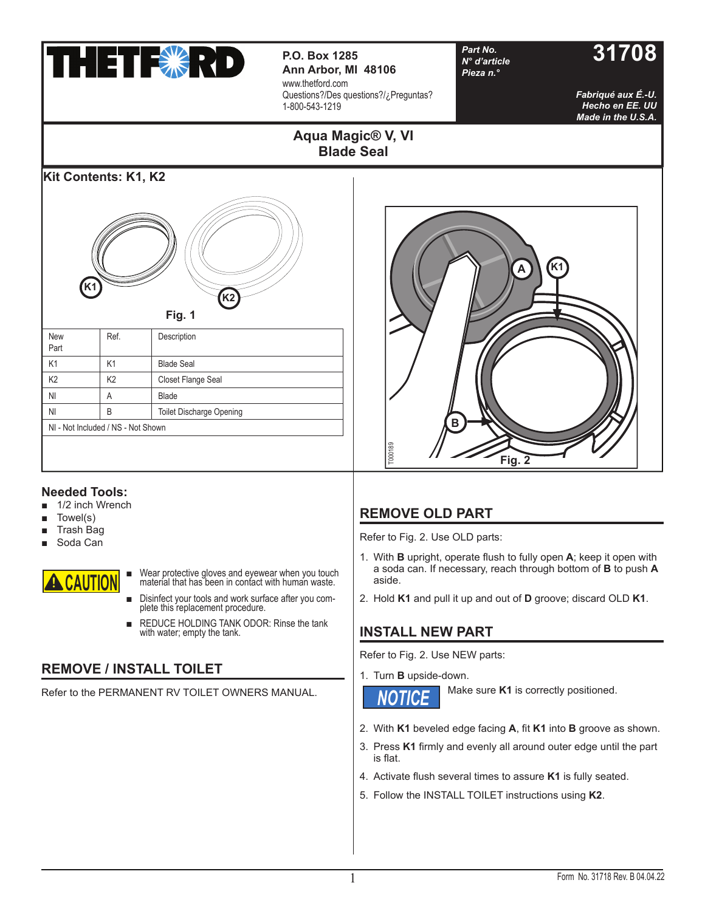

**P.O. Box 1285 Part No. 31708 Ann Arbor, MI 48106** www.thetford.com Questions?/Des questions?/¿Preguntas? 1-800-543-1219

**Aqua Magic® V, VI Blade Seal**

*Part No. N° d'article Pieza n.°*

*Fabriqué aux É.-U. Hecho en EE. UU Made in the U.S.A.*

# **Kit Contents: K1, K2 Fig. 1** New Part Ref. Description K1 | K1 | Blade Seal K2 K2 Closet Flange Seal **K2 K1**



## **Needed Tools:**

■ 1/2 inch Wrench

NI A Blade

NI - Not Included / NS - Not Shown

NI B Toilet Discharge Opening

- Towel(s)
- **Trash Bag**
- Soda Can



■ Wear protective gloves and eyewear when you touch material that has been in contact with human waste.

- Disinfect your tools and work surface after you complete this replacement procedure.
- REDUCE HOLDING TANK ODOR: Rinse the tank with water; empty the tank.

# **REMOVE / INSTALL TOILET**

Refer to the PERMANENT RV TOILET OWNERS MANUAL.

# **REMOVE OLD PART**

Refer to Fig. 2. Use OLD parts:

- 1. With **B** upright, operate flush to fully open **A**; keep it open with a soda can. If necessary, reach through bottom of **B** to push **A** aside.
- 2. Hold **K1** and pull it up and out of **D** groove; discard OLD **K1**.

## **INSTALL NEW PART**

Refer to Fig. 2. Use NEW parts:

1. Turn **B** upside-down.



Make sure **K1** is correctly positioned.

- 2. With **K1** beveled edge facing **A**, fi t **K1** into **B** groove as shown.
- 3. Press K1 firmly and evenly all around outer edge until the part is flat.
- 4. Activate flush several times to assure K1 is fully seated.
- 5. Follow the INSTALL TOILET instructions using **K2**.